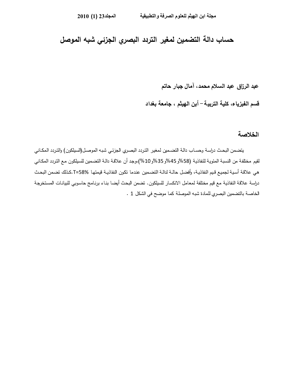# **حساب دالة التضمین لمغیر التردد البصري الجزئي شبه الموصل**

 **عبد الرزاق عبد السلام محمد، آمال جبار حاتم** 

**أبن الهیثم ، جامعة بغداد -قسم الفیزیاء، كلیة التربیة** 

#### **الخلاصة**

يتضـمن البحـث دراسـة وحسـاب دالـة التضـمين لمغير التردد البصـري الجزئـي شبـه الموصـل(السيلكون) والتردد المكـاني لقيم مختلفة من النسبة المئوية للنفاذية (58%و 45%و 35%و 10%)،وجد أن علاقـة دالـة التضمين للسيلكون مـع التردد المكـاني هـي علاقـة أسـيـة لـجميـع قـيم النفاذيـة، وأفضـل حالـة لدالـة التضـمين عندما تكون النفاذيـة قيمتهـا 58%=T.كذلك تضـمن البحـث دراسة علاقة النفاذية مع قيم مختلفة لمعامل الانكسار للسيلكون. تضمن البحث أيضا بنـاء برنـامج حاسوبي للبيانـات المستخرجة الخاصة بالتضمین البصري للمادة شبه الموصلة كما موضح في الشكل 1 .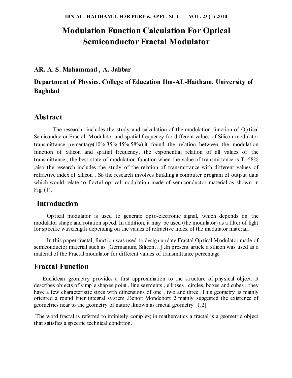# **Modulation Function Calculation For Optical Semiconductor Fractal Modulator**

### **AR. A. S. Mohammad , A. Jabbar**

## **Department of Physics, College of Education Ibn-AL-Haitham, University of Baghdad**

### **Abstract**

 The research includes the study and calculation of the modulation function of Optical Semiconductor Fractal Modulator and spatial frequency for different values of Silicon modulator transmittance percentage(10%,35%,45%,58%),it found the relation between the modulation function of Silicon and spatial frequency, the exponential relation of all values of the transmittance, the best state of modulation function when the value of transmittance is  $T=58\%$ ,also the research includes the study of the relation of transmittance with different values of refractive index of Silicon . So the research involves building a computer program of output data which would relate to fractal optical modulation made of semiconductor material as shown in Fig.  $(1)$ .

### **Introduction**

 Optical modulator is used to generate opto-electronic signal, which depends on the modulator shape and rotation speed. In addition, it may be used (the modulator) as a filter of light for specific wavelength depending on the values of refractive index of the modulator material.

 In this paper fractal, function was used to design update Fractal Optical Modulator made of semiconductor material such as [Germanium, Silicon...] .In present article a silicon was used as a material of the Fractal modulator for different values of transmittance percentage

### **Fractal Function**

 Euclidean geometry provides a first approximation to the structure of physical object. It describes objects of simple shapes point , line segments , ellipses , circles, boxes and cubes , they have a few characteristic sizes with dimensions of one , two and three .This geometry is mainly oriented a round liner integral system .Benoit Mondebort 2 mainly suggested the existence of geometries near to the geometry of nature ,known as fractal geometry [1,2].

 The word fractal is referred to infinitely complex; in mathematics a fractal is a geometric object that satisfies a specific technical condition.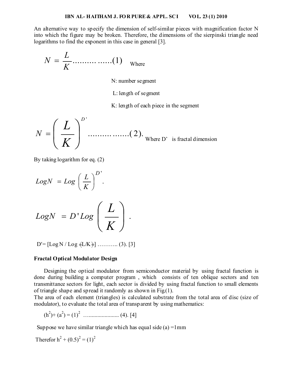An alternative way to specify the dimension of self-similar pieces with magnification factor N into which the figure may be broken. Therefore, the dimensions of the sierpinski triangle need logarithms to find the exponent in this case in general [3].

$$
N = \frac{L}{K} \dots \dots \dots \dots \dots (1)
$$

N: number segment

L: length of segment

K: length of each piece in the segment

$$
N = \left(\frac{L}{K}\right)^{D'}
$$
............(2).  
Where D' is fractal dimension

By taking logarithm for eq. (2)

$$
LogN = Log\left(\frac{L}{K}\right)^{D'}.
$$
  

$$
LogN = D'Log\left(\frac{L}{K}\right).
$$

 $D' = [Log N / Log \notin L/K \$  ........... (3). [3]

#### **Fractal Optical Modulator Design**

Designing the optical modulator from semiconductor material by using fractal function is done during building a computer program , which consists of ten oblique sectors and ten transmittance sectors for light, each sector is divided by using fractal function to small elements of triangle shape and spread it randomly as shown in Fig.(1).

The area of each element (triangles) is calculated substrate from the total area of disc (size of modulator), to evaluate the total area of transparent by using mathematics:

$$
(h2)+(a2) = (1)2 \dots (4). [4]
$$

Suppose we have similar triangle which has equal side (a)  $=1$ mm

Therefore 
$$
h^{2} + (0.5)^{2} = (1)^{2}
$$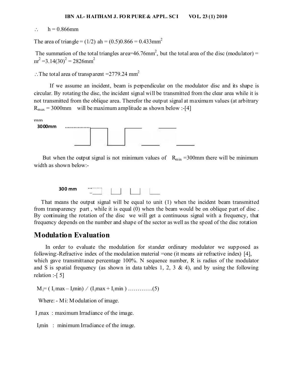#### $h = 0.866$ mm

The area of triangle = (1/2) ah = (0.5)0.866 = 0.433 mm<sup>2</sup>

The summation of the total triangles area= $46.76$ mm<sup>2</sup>, but the total area of the disc (modulator) =  $\text{m}^2$  =3.14(30)<sup>2</sup> = 2826mm<sup>2</sup>

 $\therefore$  The total area of transparent =2779.24 mm<sup>2</sup>

 If we assume an incident, beam is perpendicular on the modulator disc and its shape is circular. By rotating the disc, the incident signal will be transmitted from the clear area while it is not transmitted from the oblique area. Therefor the output signal at maximum values (at arbitrary  $R_{\text{max}} = 3000$ mm will be maximum amplitude as shown below :-[4]

mm



But when the output signal is not minimum values of  $R_{min} = 300$  mm there will be minimum width as shown below:-



 That means the output signal will be equal to unit (1) when the incident beam transmitted from transparency part , while it is equal (0) when the beam would be on oblique part of disc . By continuing the rotation of the disc we will get a continuous signal with a frequency, that frequency depends on the number and shape of the sector as well as the speed of the disc rotation

## **Modulation Evaluation**

In order to evaluate the modulation for stander ordinary modulator we supposed as following:-Refractive index of the modulation material =one (it means air refractive index) [4], which gave transmittance percentage 100%. N sequence number, R is radius of the modulator and S is spatial frequency (as shown in data tables 1, 2, 3 & 4), and by using the following relation :-[ 5]

 $M_i = (I_i max - I_i min) / (I_i max + I_i min)$  …………..(5)

Where: - Mi: Modulation of image.

I imax : maximum Irradiance of the image.

 $I<sub>i</sub>min$  : minimum Irradiance of the image.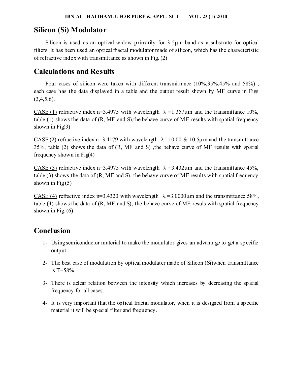### **Silicon (Si) Modulator**

Silicon is used as an optical widow primarily for 3-5um band as a substrate for optical filters. It has been used an optical fractal modulator made of silicon, which has the characteristic of refractive index with transmittance as shown in Fig. (2)

## **Calculations and Results**

Four cases of silicon were taken with different transmittance (10%, 35%, 45% and 58%), each case has the data displayed in a table and the output result shown by MF curve in Figs  $(3,4,5,6)$ .

CASE (1) refractive index n=3.4975 with wavelength  $\lambda = 1.357 \mu m$  and the transmittance 10%, table (1) shows the data of  $(R, MF, and S)$ , the behave curve of MF results with spatial frequency shown in  $Fig(3)$ 

CASE (2) refractive index n=3.4179 with wavelength  $\lambda$ =10.00 & 10.5 $\mu$ m and the transmittance 35%, table (2) shows the data of (R, MF and S) ,the behave curve of MF results with spatial frequency shown in  $Fig(4)$ 

CASE (3) refractive index n=3.4975 with wavelength  $\lambda$  =3.432 $\mu$ m and the transmittance 45%, table (3) shows the data of (R, MF and S), the behave curve of MF results with spatial frequency shown in  $Fig(5)$ 

CASE (4) refractive index n=3.4320 with wavelength  $\lambda$  =3.0000 um and the transmittance 58%. table (4) shows the data of (R, MF and S), the behave curve of MF resuls with spatial frequency shown in Fig. (6)

# **Conclusion**

- 1- Using semiconductor material to make the modulator gives an advantage to get a specific output.
- 2- The best case of modulation by optical modulater made of Silicon (Si)when transmittance is T=58%
- 3- There is aclear relation between the intensity which increases by decreasing the spatial frequency for all cases.
- 4- It is very important that the optical fractal modulator, when it is designed from a specific material it will be special filter and frequency.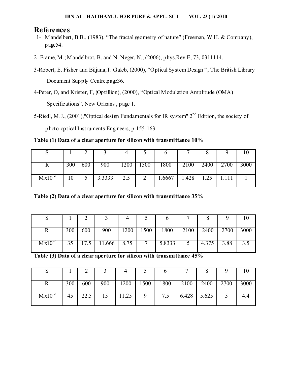### **References**

- 1- Mandelbert, B.B., (1983), "The fractal geometry of nature" (Freeman, W.H. & Company), page54.
- 2- Frame, M.; Mandelbrot, B. and N. Neger, N., (2006), phys.Rev.E, 73, 0311114.
- 3-Robert, E. Fisher and Biljana,T. Galeb, (2000), "Optical System Design ", The British Library Document Supply Centre.page36.
- 4-Peter, O, and Krister, F, (Optillion), (2000), "Optical Modulation Amplitude (OMA) Specifications", New Orleans , page 1.
- 5-Riedl, M.J., (2001),"Optical design Fundamentals for IR system" 2<sup>nd</sup> Edition, the society of photo-optical Instruments Engineers, p 155-163.

**Table (1) Data of a clear aperture for silicon with transmittance 10%** 

|             | 300 | 600 | 900    | 200 | $\sqrt{500}$ | 1800   | 2100  | 2400 | 2700  | 3000 |
|-------------|-----|-----|--------|-----|--------------|--------|-------|------|-------|------|
| $Mx10^{-2}$ | 10  |     | 3.3333 | 2.5 |              | 1.6667 | 1.428 | 1.25 | 1.111 |      |

**Table (2) Data of a clear aperture for silicon with transmittance 35%** 

|             | 300 | 600 | 900             | 1200 | 500          | 1800   | 2100 | 2400  | 2700 | 3000 |
|-------------|-----|-----|-----------------|------|--------------|--------|------|-------|------|------|
| $Mx10^{-2}$ | 35  |     | $17.5$   11.666 | 8.75 | $\mathbf{r}$ | 5.8333 |      | 4.375 | 3.88 | ر. ر |

**Table (3) Data of a clear aperture for silicon with transmittance 45%** 

|             | 300 | 600  | 900 | 1200  | 1500 | 1800 | 2100 | 2400          | 2700 |  |
|-------------|-----|------|-----|-------|------|------|------|---------------|------|--|
| $Mx10^{-2}$ | 45  | 22.5 | 15  | 11.25 |      | 7.5  |      | $6.428$ 5.625 |      |  |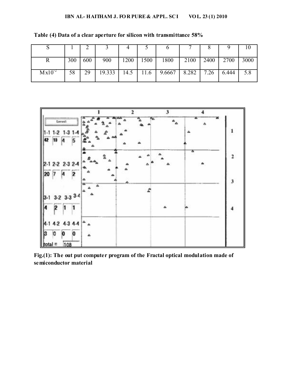|                   | 300 | 600 | 900    | 1200 | 1500 | 1800   | 2100  | 2400 | 2700  | 3000 |
|-------------------|-----|-----|--------|------|------|--------|-------|------|-------|------|
| Mx10 <sup>2</sup> | 58  | 29  | 19.333 | 14.5 | 11.6 | 9.6667 | 8.282 | 7.26 | 6.444 |      |

**Table (4) Data of a clear aperture for silicon with transmittance 58%** 



**Fig.(1): The out put computer program of the Fractal optical modulation made of semiconductor material**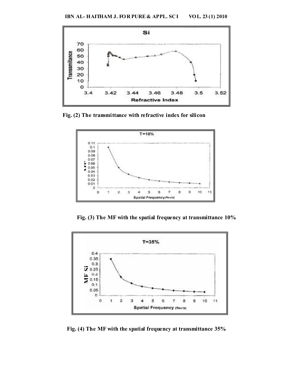

 **Fig. (2) The transmittance with refractive index for silicon** 



 **Fig. (3) The MF with the spatial frequency at transmittance 10%** 

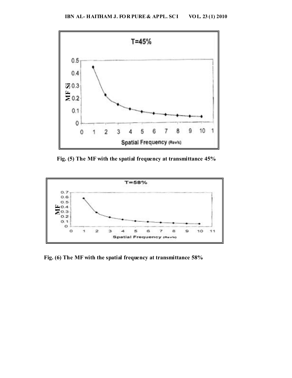

 **Fig. (5) The MF with the spatial frequency at transmittance 45%**



 **Fig. (6) The MF with the spatial frequency at transmittance 58%**